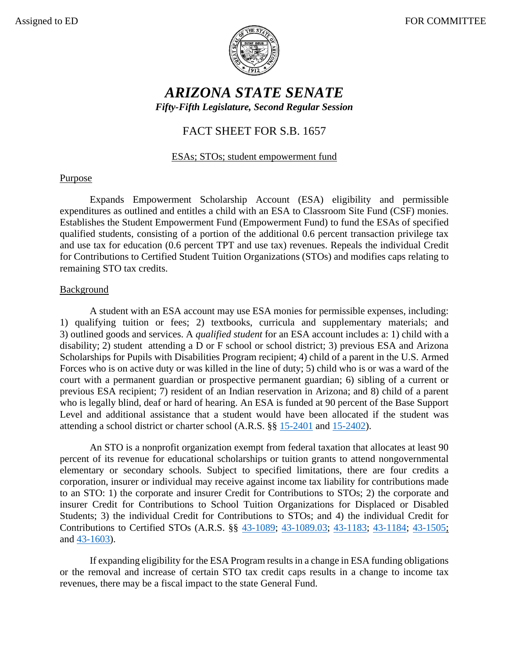

# *ARIZONA STATE SENATE Fifty-Fifth Legislature, Second Regular Session*

## FACT SHEET FOR S.B. 1657

## ESAs; STOs; student empowerment fund

#### Purpose

Expands Empowerment Scholarship Account (ESA) eligibility and permissible expenditures as outlined and entitles a child with an ESA to Classroom Site Fund (CSF) monies. Establishes the Student Empowerment Fund (Empowerment Fund) to fund the ESAs of specified qualified students, consisting of a portion of the additional 0.6 percent transaction privilege tax and use tax for education (0.6 percent TPT and use tax) revenues. Repeals the individual Credit for Contributions to Certified Student Tuition Organizations (STOs) and modifies caps relating to remaining STO tax credits.

#### Background

A student with an ESA account may use ESA monies for permissible expenses, including: 1) qualifying tuition or fees; 2) textbooks, curricula and supplementary materials; and 3) outlined goods and services. A *qualified student* for an ESA account includes a: 1) child with a disability; 2) student attending a D or F school or school district; 3) previous ESA and Arizona Scholarships for Pupils with Disabilities Program recipient; 4) child of a parent in the U.S. Armed Forces who is on active duty or was killed in the line of duty; 5) child who is or was a ward of the court with a permanent guardian or prospective permanent guardian; 6) sibling of a current or previous ESA recipient; 7) resident of an Indian reservation in Arizona; and 8) child of a parent who is legally blind, deaf or hard of hearing. An ESA is funded at 90 percent of the Base Support Level and additional assistance that a student would have been allocated if the student was attending a school district or charter school (A.R.S. §§ [15-2401](https://www.azleg.gov/viewDocument/?docName=http://www.azleg.gov/ars/15/02401.htm) and [15-2402\)](https://www.azleg.gov/viewDocument/?docName=http://www.azleg.gov/ars/15/02402.htm).

An STO is a nonprofit organization exempt from federal taxation that allocates at least 90 percent of its revenue for educational scholarships or tuition grants to attend nongovernmental elementary or secondary schools. Subject to specified limitations, there are four credits a corporation, insurer or individual may receive against income tax liability for contributions made to an STO: 1) the corporate and insurer Credit for Contributions to STOs; 2) the corporate and insurer Credit for Contributions to School Tuition Organizations for Displaced or Disabled Students; 3) the individual Credit for Contributions to STOs; and 4) the individual Credit for Contributions to Certified STOs (A.R.S. §§ [43-1089;](https://www.azleg.gov/viewdocument/?docName=https://www.azleg.gov/ars/43/01089.htm) [43-1089.03;](https://www.azleg.gov/viewdocument/?docName=https://www.azleg.gov/ars/43/01089-03.htm) [43-1183;](https://www.azleg.gov/viewdocument/?docName=https://www.azleg.gov/ars/43/01183.htm) [43-1184;](https://www.azleg.gov/viewdocument/?docName=https://www.azleg.gov/ars/43/01184.htm) [43-1505;](https://www.azleg.gov/viewdocument/?docName=https://www.azleg.gov/ars/43/01505.htm) and [43-1603\)](https://www.azleg.gov/viewdocument/?docName=https://www.azleg.gov/ars/43/01603.htm).

If expanding eligibility for the ESA Program results in a change in ESA funding obligations or the removal and increase of certain STO tax credit caps results in a change to income tax revenues, there may be a fiscal impact to the state General Fund.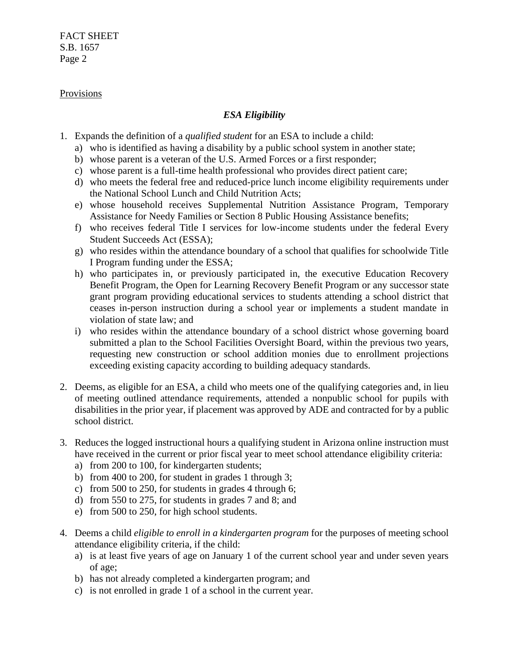FACT SHEET S.B. 1657 Page 2

#### Provisions

## *ESA Eligibility*

- 1. Expands the definition of a *qualified student* for an ESA to include a child:
	- a) who is identified as having a disability by a public school system in another state;
	- b) whose parent is a veteran of the U.S. Armed Forces or a first responder;
	- c) whose parent is a full-time health professional who provides direct patient care;
	- d) who meets the federal free and reduced-price lunch income eligibility requirements under the National School Lunch and Child Nutrition Acts;
	- e) whose household receives Supplemental Nutrition Assistance Program, Temporary Assistance for Needy Families or Section 8 Public Housing Assistance benefits;
	- f) who receives federal Title I services for low-income students under the federal Every Student Succeeds Act (ESSA);
	- g) who resides within the attendance boundary of a school that qualifies for schoolwide Title I Program funding under the ESSA;
	- h) who participates in, or previously participated in, the executive Education Recovery Benefit Program, the Open for Learning Recovery Benefit Program or any successor state grant program providing educational services to students attending a school district that ceases in-person instruction during a school year or implements a student mandate in violation of state law; and
	- i) who resides within the attendance boundary of a school district whose governing board submitted a plan to the School Facilities Oversight Board, within the previous two years, requesting new construction or school addition monies due to enrollment projections exceeding existing capacity according to building adequacy standards.
- 2. Deems, as eligible for an ESA, a child who meets one of the qualifying categories and, in lieu of meeting outlined attendance requirements, attended a nonpublic school for pupils with disabilities in the prior year, if placement was approved by ADE and contracted for by a public school district.
- 3. Reduces the logged instructional hours a qualifying student in Arizona online instruction must have received in the current or prior fiscal year to meet school attendance eligibility criteria:
	- a) from 200 to 100, for kindergarten students;
	- b) from 400 to 200, for student in grades 1 through 3;
	- c) from 500 to 250, for students in grades 4 through 6;
	- d) from 550 to 275, for students in grades 7 and 8; and
	- e) from 500 to 250, for high school students.
- 4. Deems a child *eligible to enroll in a kindergarten program* for the purposes of meeting school attendance eligibility criteria, if the child:
	- a) is at least five years of age on January 1 of the current school year and under seven years of age;
	- b) has not already completed a kindergarten program; and
	- c) is not enrolled in grade 1 of a school in the current year.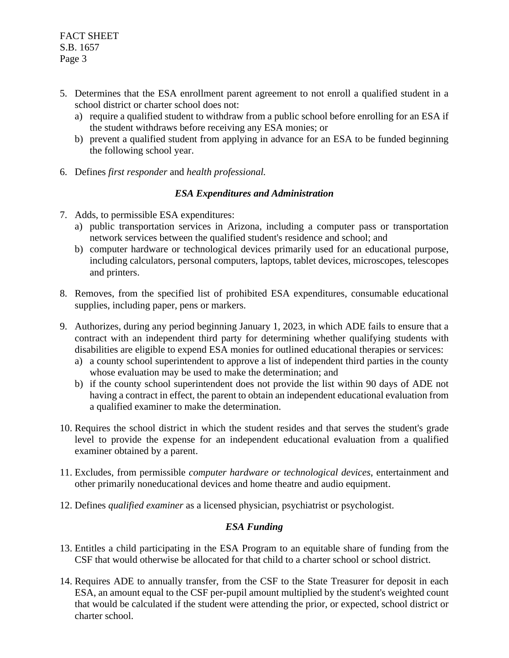- 5. Determines that the ESA enrollment parent agreement to not enroll a qualified student in a school district or charter school does not:
	- a) require a qualified student to withdraw from a public school before enrolling for an ESA if the student withdraws before receiving any ESA monies; or
	- b) prevent a qualified student from applying in advance for an ESA to be funded beginning the following school year.
- 6. Defines *first responder* and *health professional.*

## *ESA Expenditures and Administration*

- 7. Adds, to permissible ESA expenditures:
	- a) public transportation services in Arizona, including a computer pass or transportation network services between the qualified student's residence and school; and
	- b) computer hardware or technological devices primarily used for an educational purpose, including calculators, personal computers, laptops, tablet devices, microscopes, telescopes and printers.
- 8. Removes, from the specified list of prohibited ESA expenditures, consumable educational supplies, including paper, pens or markers.
- 9. Authorizes, during any period beginning January 1, 2023, in which ADE fails to ensure that a contract with an independent third party for determining whether qualifying students with disabilities are eligible to expend ESA monies for outlined educational therapies or services:
	- a) a county school superintendent to approve a list of independent third parties in the county whose evaluation may be used to make the determination; and
	- b) if the county school superintendent does not provide the list within 90 days of ADE not having a contract in effect, the parent to obtain an independent educational evaluation from a qualified examiner to make the determination.
- 10. Requires the school district in which the student resides and that serves the student's grade level to provide the expense for an independent educational evaluation from a qualified examiner obtained by a parent.
- 11. Excludes, from permissible *computer hardware or technological devices*, entertainment and other primarily noneducational devices and home theatre and audio equipment.
- 12. Defines *qualified examiner* as a licensed physician, psychiatrist or psychologist.

## *ESA Funding*

- 13. Entitles a child participating in the ESA Program to an equitable share of funding from the CSF that would otherwise be allocated for that child to a charter school or school district.
- 14. Requires ADE to annually transfer, from the CSF to the State Treasurer for deposit in each ESA, an amount equal to the CSF per-pupil amount multiplied by the student's weighted count that would be calculated if the student were attending the prior, or expected, school district or charter school.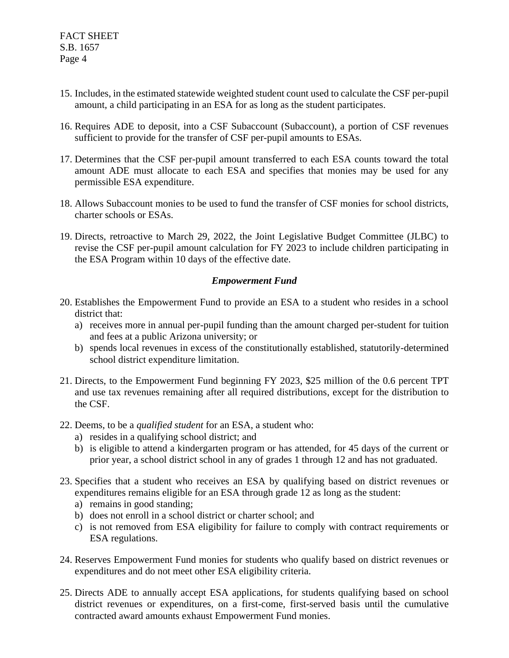- 15. Includes, in the estimated statewide weighted student count used to calculate the CSF per-pupil amount, a child participating in an ESA for as long as the student participates.
- 16. Requires ADE to deposit, into a CSF Subaccount (Subaccount), a portion of CSF revenues sufficient to provide for the transfer of CSF per-pupil amounts to ESAs.
- 17. Determines that the CSF per-pupil amount transferred to each ESA counts toward the total amount ADE must allocate to each ESA and specifies that monies may be used for any permissible ESA expenditure.
- 18. Allows Subaccount monies to be used to fund the transfer of CSF monies for school districts, charter schools or ESAs.
- 19. Directs, retroactive to March 29, 2022, the Joint Legislative Budget Committee (JLBC) to revise the CSF per-pupil amount calculation for FY 2023 to include children participating in the ESA Program within 10 days of the effective date.

#### *Empowerment Fund*

- 20. Establishes the Empowerment Fund to provide an ESA to a student who resides in a school district that:
	- a) receives more in annual per-pupil funding than the amount charged per-student for tuition and fees at a public Arizona university; or
	- b) spends local revenues in excess of the constitutionally established, statutorily-determined school district expenditure limitation.
- 21. Directs, to the Empowerment Fund beginning FY 2023, \$25 million of the 0.6 percent TPT and use tax revenues remaining after all required distributions, except for the distribution to the CSF.
- 22. Deems, to be a *qualified student* for an ESA, a student who:
	- a) resides in a qualifying school district; and
	- b) is eligible to attend a kindergarten program or has attended, for 45 days of the current or prior year, a school district school in any of grades 1 through 12 and has not graduated.
- 23. Specifies that a student who receives an ESA by qualifying based on district revenues or expenditures remains eligible for an ESA through grade 12 as long as the student:
	- a) remains in good standing;
	- b) does not enroll in a school district or charter school; and
	- c) is not removed from ESA eligibility for failure to comply with contract requirements or ESA regulations.
- 24. Reserves Empowerment Fund monies for students who qualify based on district revenues or expenditures and do not meet other ESA eligibility criteria.
- 25. Directs ADE to annually accept ESA applications, for students qualifying based on school district revenues or expenditures, on a first-come, first-served basis until the cumulative contracted award amounts exhaust Empowerment Fund monies.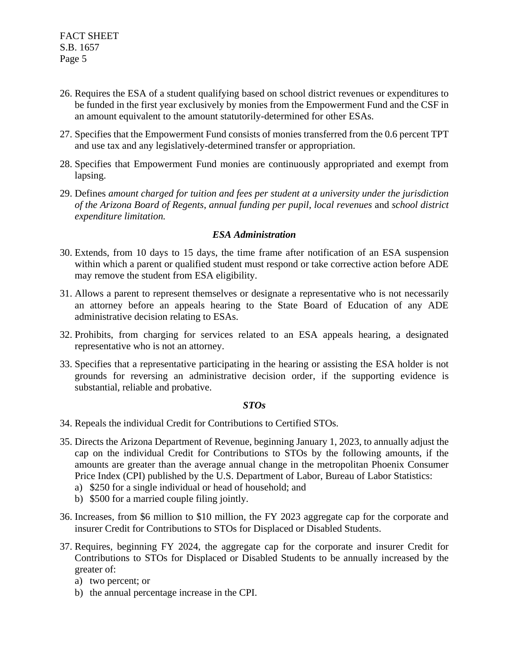- 26. Requires the ESA of a student qualifying based on school district revenues or expenditures to be funded in the first year exclusively by monies from the Empowerment Fund and the CSF in an amount equivalent to the amount statutorily-determined for other ESAs.
- 27. Specifies that the Empowerment Fund consists of monies transferred from the 0.6 percent TPT and use tax and any legislatively-determined transfer or appropriation.
- 28. Specifies that Empowerment Fund monies are continuously appropriated and exempt from lapsing.
- 29. Defines *amount charged for tuition and fees per student at a university under the jurisdiction of the Arizona Board of Regents*, *annual funding per pupil*, *local revenues* and *school district expenditure limitation.*

#### *ESA Administration*

- 30. Extends, from 10 days to 15 days, the time frame after notification of an ESA suspension within which a parent or qualified student must respond or take corrective action before ADE may remove the student from ESA eligibility.
- 31. Allows a parent to represent themselves or designate a representative who is not necessarily an attorney before an appeals hearing to the State Board of Education of any ADE administrative decision relating to ESAs.
- 32. Prohibits, from charging for services related to an ESA appeals hearing, a designated representative who is not an attorney.
- 33. Specifies that a representative participating in the hearing or assisting the ESA holder is not grounds for reversing an administrative decision order, if the supporting evidence is substantial, reliable and probative.

#### *STOs*

- 34. Repeals the individual Credit for Contributions to Certified STOs.
- 35. Directs the Arizona Department of Revenue, beginning January 1, 2023, to annually adjust the cap on the individual Credit for Contributions to STOs by the following amounts, if the amounts are greater than the average annual change in the metropolitan Phoenix Consumer Price Index (CPI) published by the U.S. Department of Labor, Bureau of Labor Statistics:
	- a) \$250 for a single individual or head of household; and
	- b) \$500 for a married couple filing jointly.
- 36. Increases, from \$6 million to \$10 million, the FY 2023 aggregate cap for the corporate and insurer Credit for Contributions to STOs for Displaced or Disabled Students.
- 37. Requires, beginning FY 2024, the aggregate cap for the corporate and insurer Credit for Contributions to STOs for Displaced or Disabled Students to be annually increased by the greater of:
	- a) two percent; or
	- b) the annual percentage increase in the CPI.